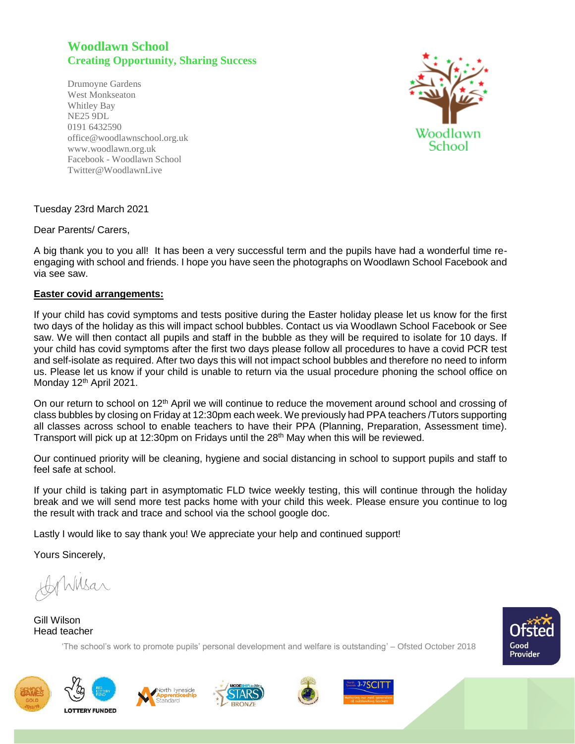## **Woodlawn School Creating Opportunity, Sharing Success**

Drumoyne Gardens West Monkseaton Whitley Bay NE25 9DL 0191 6432590 office@woodlawnschool.org.uk [www.woodlawn.](http://www.woodlawn/)org.uk Facebook - Woodlawn School Twitter@WoodlawnLive



## Tuesday 23rd March 2021

## Dear Parents/ Carers,

A big thank you to you all! It has been a very successful term and the pupils have had a wonderful time reengaging with school and friends. I hope you have seen the photographs on Woodlawn School Facebook and via see saw.

## **Easter covid arrangements:**

If your child has covid symptoms and tests positive during the Easter holiday please let us know for the first two days of the holiday as this will impact school bubbles. Contact us via Woodlawn School Facebook or See saw. We will then contact all pupils and staff in the bubble as they will be required to isolate for 10 days. If your child has covid symptoms after the first two days please follow all procedures to have a covid PCR test and self-isolate as required. After two days this will not impact school bubbles and therefore no need to inform us. Please let us know if your child is unable to return via the usual procedure phoning the school office on Monday 12<sup>th</sup> April 2021.

On our return to school on 12<sup>th</sup> April we will continue to reduce the movement around school and crossing of class bubbles by closing on Friday at 12:30pm each week. We previously had PPA teachers /Tutors supporting all classes across school to enable teachers to have their PPA (Planning, Preparation, Assessment time). Transport will pick up at 12:30pm on Fridays until the  $28<sup>th</sup>$  May when this will be reviewed.

Our continued priority will be cleaning, hygiene and social distancing in school to support pupils and staff to feel safe at school.

If your child is taking part in asymptomatic FLD twice weekly testing, this will continue through the holiday break and we will send more test packs home with your child this week. Please ensure you continue to log the result with track and trace and school via the school google doc.

Lastly I would like to say thank you! We appreciate your help and continued support!

Yours Sincerely,

hMsar

Gill Wilson Head teacher

'The school's work to promote pupils' personal development and welfare is outstanding' – Ofsted October 2018